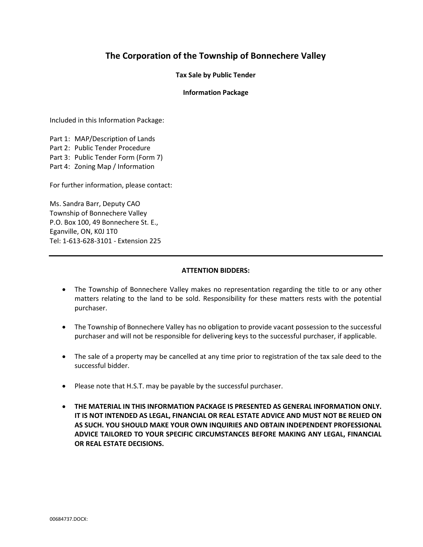# The Corporation of the Township of Bonnechere Valley

Tax Sale by Public Tender

#### Information Package

Included in this Information Package:

Part 1: MAP/Description of Lands Part 2: Public Tender Procedure Part 3: Public Tender Form (Form 7) Part 4: Zoning Map / Information

For further information, please contact:

Ms. Sandra Barr, Deputy CAO Township of Bonnechere Valley P.O. Box 100, 49 Bonnechere St. E., Eganville, ON, K0J 1T0 Tel: 1-613-628-3101 - Extension 225

#### ATTENTION BIDDERS:

- The Township of Bonnechere Valley makes no representation regarding the title to or any other matters relating to the land to be sold. Responsibility for these matters rests with the potential purchaser.
- The Township of Bonnechere Valley has no obligation to provide vacant possession to the successful purchaser and will not be responsible for delivering keys to the successful purchaser, if applicable.
- The sale of a property may be cancelled at any time prior to registration of the tax sale deed to the successful bidder.
- Please note that H.S.T. may be payable by the successful purchaser.
- THE MATERIAL IN THIS INFORMATION PACKAGE IS PRESENTED AS GENERAL INFORMATION ONLY. IT IS NOT INTENDED AS LEGAL, FINANCIAL OR REAL ESTATE ADVICE AND MUST NOT BE RELIED ON AS SUCH. YOU SHOULD MAKE YOUR OWN INQUIRIES AND OBTAIN INDEPENDENT PROFESSIONAL ADVICE TAILORED TO YOUR SPECIFIC CIRCUMSTANCES BEFORE MAKING ANY LEGAL, FINANCIAL OR REAL ESTATE DECISIONS.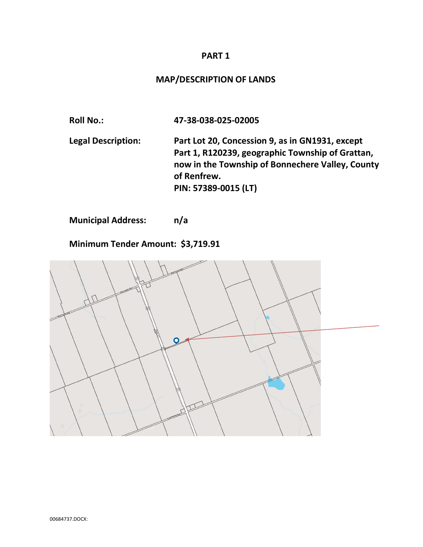## PART 1

# MAP/DESCRIPTION OF LANDS

Roll No.: 47-38-038-025-02005 Legal Description: Part Lot 20, Concession 9, as in GN1931, except Part 1, R120239, geographic Township of Grattan, now in the Township of Bonnechere Valley, County of Renfrew. PIN: 57389-0015 (LT)

Municipal Address: n/a

Minimum Tender Amount: \$3,719.91

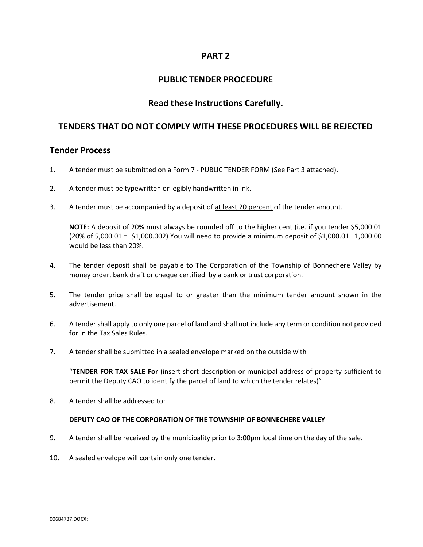## PART 2

## PUBLIC TENDER PROCEDURE

## Read these Instructions Carefully.

## TENDERS THAT DO NOT COMPLY WITH THESE PROCEDURES WILL BE REJECTED

### Tender Process

- 1. A tender must be submitted on a Form 7 PUBLIC TENDER FORM (See Part 3 attached).
- 2. A tender must be typewritten or legibly handwritten in ink.
- 3. A tender must be accompanied by a deposit of at least 20 percent of the tender amount.

 NOTE: A deposit of 20% must always be rounded off to the higher cent (i.e. if you tender \$5,000.01 (20% of 5,000.01 = \$1,000.002) You will need to provide a minimum deposit of \$1,000.01. 1,000.00 would be less than 20%.

- 4. The tender deposit shall be payable to The Corporation of the Township of Bonnechere Valley by money order, bank draft or cheque certified by a bank or trust corporation.
- 5. The tender price shall be equal to or greater than the minimum tender amount shown in the advertisement.
- 6. A tender shall apply to only one parcel of land and shall not include any term or condition not provided for in the Tax Sales Rules.
- 7. A tender shall be submitted in a sealed envelope marked on the outside with

 "TENDER FOR TAX SALE For (insert short description or municipal address of property sufficient to permit the Deputy CAO to identify the parcel of land to which the tender relates)"

8. A tender shall be addressed to:

### DEPUTY CAO OF THE CORPORATION OF THE TOWNSHIP OF BONNECHERE VALLEY

- 9. A tender shall be received by the municipality prior to 3:00pm local time on the day of the sale.
- 10. A sealed envelope will contain only one tender.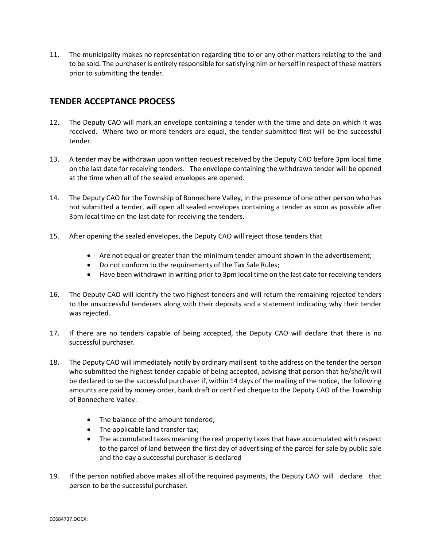11. The municipality makes no representation regarding title to or any other matters relating to the land to be sold. The purchaser is entirely responsible for satisfying him or herself in respect of these matters prior to submitting the tender.

# TENDER ACCEPTANCE PROCESS

- 12. The Deputy CAO will mark an envelope containing a tender with the time and date on which it was received. Where two or more tenders are equal, the tender submitted first will be the successful tender.
- 13. A tender may be withdrawn upon written request received by the Deputy CAO before 3pm local time on the last date for receiving tenders. The envelope containing the withdrawn tender will be opened at the time when all of the sealed envelopes are opened.
- 14. The Deputy CAO for the Township of Bonnechere Valley, in the presence of one other person who has not submitted a tender, will open all sealed envelopes containing a tender as soon as possible after 3pm local time on the last date for receiving the tenders.
- 15. After opening the sealed envelopes, the Deputy CAO will reject those tenders that
	- Are not equal or greater than the minimum tender amount shown in the advertisement;
	- Do not conform to the requirements of the Tax Sale Rules;
	- Have been withdrawn in writing prior to 3pm local time on the last date for receiving tenders
- 16. The Deputy CAO will identify the two highest tenders and will return the remaining rejected tenders to the unsuccessful tenderers along with their deposits and a statement indicating why their tender was rejected.
- 17. If there are no tenders capable of being accepted, the Deputy CAO will declare that there is no successful purchaser.
- 18. The Deputy CAO will immediately notify by ordinary mail sent to the address on the tender the person who submitted the highest tender capable of being accepted, advising that person that he/she/it will be declared to be the successful purchaser if, within 14 days of the mailing of the notice, the following amounts are paid by money order, bank draft or certified cheque to the Deputy CAO of the Township of Bonnechere Valley:
	- The balance of the amount tendered:
	- The applicable land transfer tax;
	- The accumulated taxes meaning the real property taxes that have accumulated with respect to the parcel of land between the first day of advertising of the parcel for sale by public sale and the day a successful purchaser is declared
- 19. If the person notified above makes all of the required payments, the Deputy CAO will declare that person to be the successful purchaser.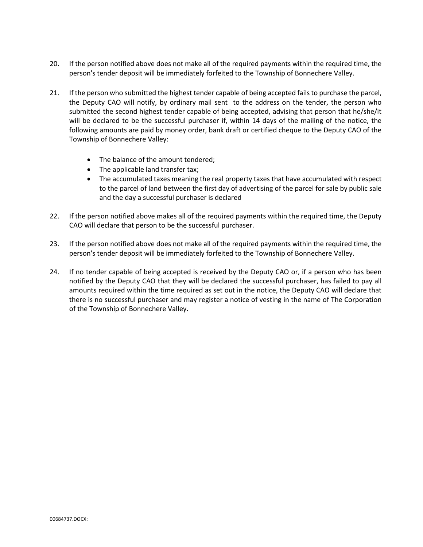- 20. If the person notified above does not make all of the required payments within the required time, the person's tender deposit will be immediately forfeited to the Township of Bonnechere Valley.
- 21. If the person who submitted the highest tender capable of being accepted fails to purchase the parcel, the Deputy CAO will notify, by ordinary mail sent to the address on the tender, the person who submitted the second highest tender capable of being accepted, advising that person that he/she/it will be declared to be the successful purchaser if, within 14 days of the mailing of the notice, the following amounts are paid by money order, bank draft or certified cheque to the Deputy CAO of the Township of Bonnechere Valley:
	- The balance of the amount tendered;
	- The applicable land transfer tax;
	- The accumulated taxes meaning the real property taxes that have accumulated with respect to the parcel of land between the first day of advertising of the parcel for sale by public sale and the day a successful purchaser is declared
- 22. If the person notified above makes all of the required payments within the required time, the Deputy CAO will declare that person to be the successful purchaser.
- 23. If the person notified above does not make all of the required payments within the required time, the person's tender deposit will be immediately forfeited to the Township of Bonnechere Valley.
- 24. If no tender capable of being accepted is received by the Deputy CAO or, if a person who has been notified by the Deputy CAO that they will be declared the successful purchaser, has failed to pay all amounts required within the time required as set out in the notice, the Deputy CAO will declare that there is no successful purchaser and may register a notice of vesting in the name of The Corporation of the Township of Bonnechere Valley.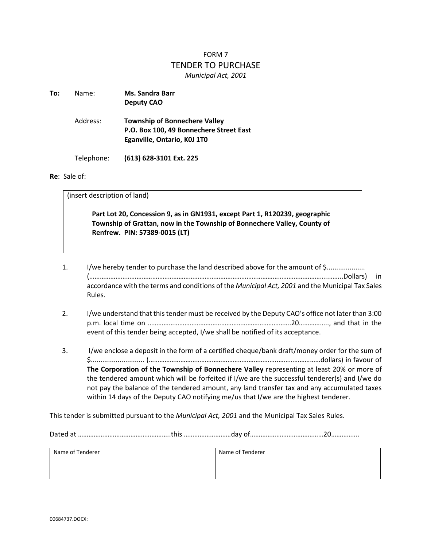# FORM 7 TENDER TO PURCHASE Municipal Act, 2001

| To: | Name:      | <b>Ms. Sandra Barr</b><br><b>Deputy CAO</b>                                                                    |  |
|-----|------------|----------------------------------------------------------------------------------------------------------------|--|
|     | Address:   | <b>Township of Bonnechere Valley</b><br>P.O. Box 100, 49 Bonnechere Street East<br>Eganville, Ontario, KOJ 1TO |  |
|     | Telephone: | (613) 628-3101 Ext. 225                                                                                        |  |

#### Re: Sale of:

(insert description of land)

 Part Lot 20, Concession 9, as in GN1931, except Part 1, R120239, geographic Township of Grattan, now in the Township of Bonnechere Valley, County of Renfrew. PIN: 57389-0015 (LT)

- 1. I/we hereby tender to purchase the land described above for the amount of \$.................... (………………………………………………………………………………………………………………………..……..Dollars) in accordance with the terms and conditions of the Municipal Act, 2001 and the Municipal Tax Sales Rules.
- 2. I/we understand that this tender must be received by the Deputy CAO's office not later than 3:00 p.m. local time on ……………………………………………………………………….20…………….., and that in the event of this tender being accepted, I/we shall be notified of its acceptance.
- 3. I/we enclose a deposit in the form of a certified cheque/bank draft/money order for the sum of \$............................ (………………………………………………………………..……………………dollars) in favour of The Corporation of the Township of Bonnechere Valley representing at least 20% or more of the tendered amount which will be forfeited if I/we are the successful tenderer(s) and I/we do not pay the balance of the tendered amount, any land transfer tax and any accumulated taxes within 14 days of the Deputy CAO notifying me/us that I/we are the highest tenderer.

This tender is submitted pursuant to the Municipal Act, 2001 and the Municipal Tax Sales Rules.

Dated at ……………………………………………..this ………………………day of……………………………………20…………….

| Name of Tenderer | Name of Tenderer |
|------------------|------------------|
|                  |                  |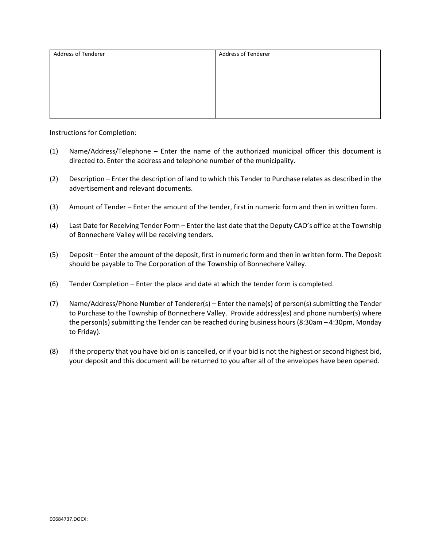| Address of Tenderer | <b>Address of Tenderer</b> |
|---------------------|----------------------------|
|                     |                            |
|                     |                            |
|                     |                            |
|                     |                            |
|                     |                            |
|                     |                            |

Instructions for Completion:

- (1) Name/Address/Telephone Enter the name of the authorized municipal officer this document is directed to. Enter the address and telephone number of the municipality.
- (2) Description Enter the description of land to which this Tender to Purchase relates as described in the advertisement and relevant documents.
- (3) Amount of Tender Enter the amount of the tender, first in numeric form and then in written form.
- (4) Last Date for Receiving Tender Form Enter the last date that the Deputy CAO's office at the Township of Bonnechere Valley will be receiving tenders.
- (5) Deposit Enter the amount of the deposit, first in numeric form and then in written form. The Deposit should be payable to The Corporation of the Township of Bonnechere Valley.
- (6) Tender Completion Enter the place and date at which the tender form is completed.
- (7) Name/Address/Phone Number of Tenderer(s) Enter the name(s) of person(s) submitting the Tender to Purchase to the Township of Bonnechere Valley. Provide address(es) and phone number(s) where the person(s) submitting the Tender can be reached during business hours (8:30am – 4:30pm, Monday to Friday).
- (8) If the property that you have bid on is cancelled, or if your bid is not the highest or second highest bid, your deposit and this document will be returned to you after all of the envelopes have been opened.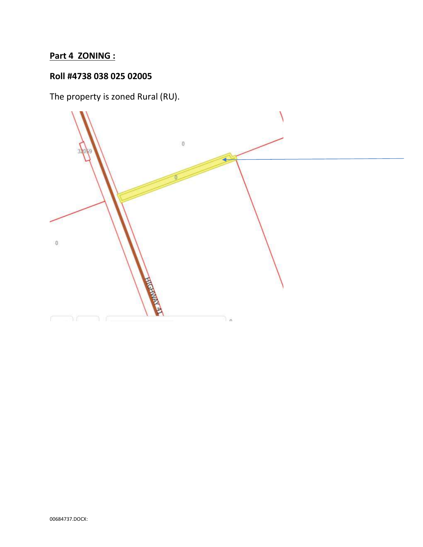# Part 4 ZONING :

# Roll #4738 038 025 02005

The property is zoned Rural (RU).

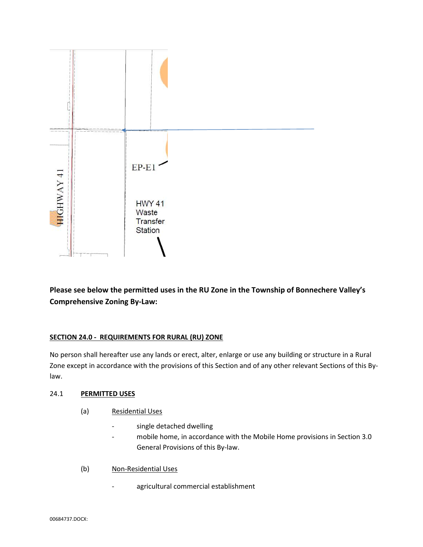

Please see below the permitted uses in the RU Zone in the Township of Bonnechere Valley's Comprehensive Zoning By-Law:

## SECTION 24.0 - REQUIREMENTS FOR RURAL (RU) ZONE

No person shall hereafter use any lands or erect, alter, enlarge or use any building or structure in a Rural Zone except in accordance with the provisions of this Section and of any other relevant Sections of this Bylaw.

### 24.1 PERMITTED USES

- (a) Residential Uses
	- single detached dwelling
	- mobile home, in accordance with the Mobile Home provisions in Section 3.0 General Provisions of this By-law.
- (b) Non-Residential Uses
	- agricultural commercial establishment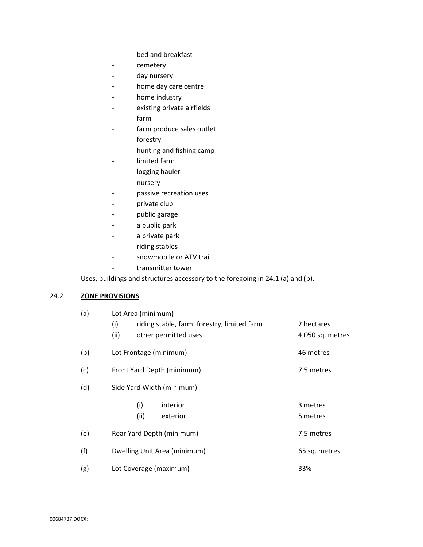- bed and breakfast
- cemetery
- day nursery
- home day care centre
- home industry
- existing private airfields
- farm
- farm produce sales outlet
- forestry
- hunting and fishing camp
- limited farm
- logging hauler
- nursery
- passive recreation uses
- private club
- public garage
- a public park
- a private park
- riding stables
- snowmobile or ATV trail
- transmitter tower

Uses, buildings and structures accessory to the foregoing in 24.1 (a) and (b).

### 24.2 **ZONE PROVISIONS**

| (a) | Lot Area (minimum)                                 |                  |  |
|-----|----------------------------------------------------|------------------|--|
|     | (i)<br>riding stable, farm, forestry, limited farm | 2 hectares       |  |
|     | (ii)<br>other permitted uses                       | 4,050 sq. metres |  |
| (b) | Lot Frontage (minimum)                             | 46 metres        |  |
| (c) | Front Yard Depth (minimum)                         | 7.5 metres       |  |
| (d) | Side Yard Width (minimum)                          |                  |  |
|     | (i)<br>interior                                    | 3 metres         |  |
|     | (ii)<br>exterior                                   | 5 metres         |  |
| (e) | Rear Yard Depth (minimum)                          | 7.5 metres       |  |
| (f) | Dwelling Unit Area (minimum)                       | 65 sq. metres    |  |
| (g) | Lot Coverage (maximum)                             | 33%              |  |